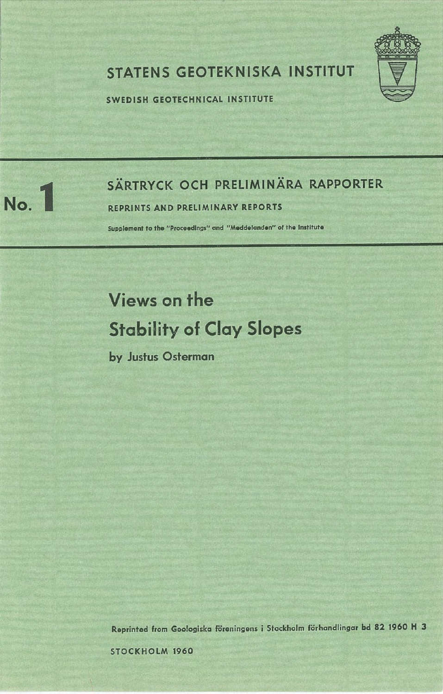

## STATENS GEOTEKNISKA INSTITUT

SWEDISH GEOTECHNICAL INSTITUTE



## SÄRTRYCK OCH PRELIMINÄRA RAPPORTER **No. 1 2 ISBN 2015 SARTRYCK OCH PRELIMINARY** REPORTS

Supplement to the "Proceedings" and "Meddelanden" of the Institute

# Views on the Stability of Clay Slopes

by Justus Osterman

Reprinted from Goologiska föreningens i Stockholm förhandlingar bd 82 1960 H 3

STOCKHOLM 1960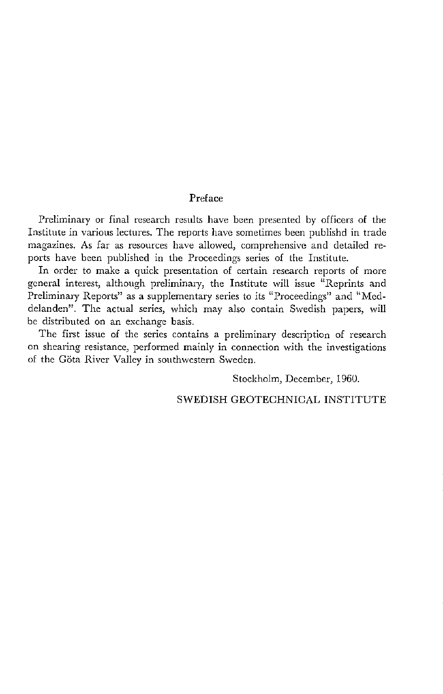#### Preface

Preliminary or final research results have been presented by officers of the Institute in various lectures. The reports have sometimes been publishd in trade magazines. As far as resources have allowed, comprehensive and detailed reports have been published in the Proceedings series of the Institute.

In order to make a quick presentation of certain research reports of more general interest, although preliminary, the Institute will issue "Reprints and Preliminary Reports" as a supplementary series to its "Proceedings" and "Meddelanden". The actual series, which may also contain Swedish papers, will be distributed on an exchange basis.

The first issue of the series contains a preliminary description of research on shearing resistance, performed mainly in connection with the investigations of the Göta River Valley in southwestern Sweden.

Stockholm, December, 1960.

#### SWEDISH GEOTECHNICAL INSTITUTE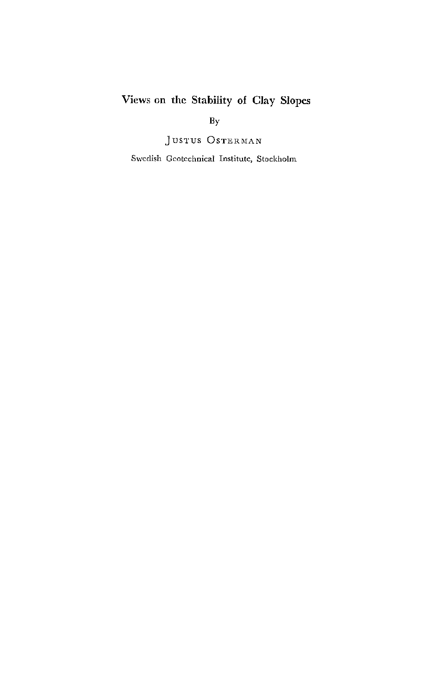### Views on the Stability of Clay Slopes

By

JUSTUS OSTERMAN

Swedish Geotcchnical Institute, Stockholm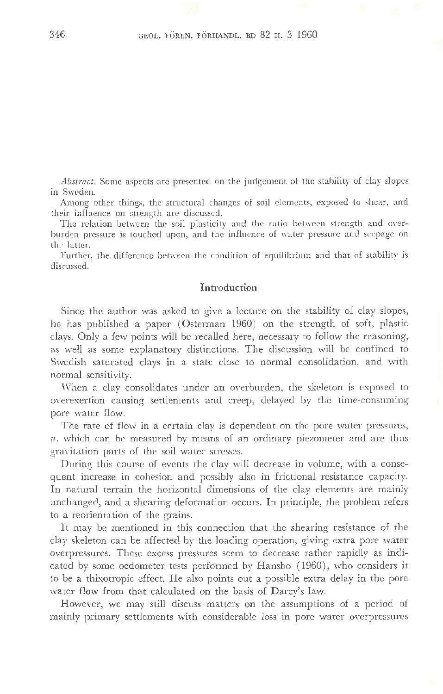*Abstract.* Some aspects are presented on the judgement of the stability of clay slopes in Sweden.

Among other things, the structural changes of soil elements, exposed to shear, and their influence on strength are discussed.

The relation between the soil plasticity and the ratio between strength and overburden pressure is touched upon, and the influence of water pressure and seepage on the latter.

Further, the difference between the condition of equilibrium and that of stability is discussed.

#### **Introduction**

Since the author was asked to give a lecture on the stability of clay slopes, he has published a paper (Osterman 1960) on the strength of soft, plastic clays. Only a few points will be recalled here, necessary to follow the reasoning, as well as some explanatory distinctions. The discussion will be confined to Swedish saturated clays in a state close to normal consolidation, and with normal sensitivity.

When a clay consolidates under an overburden, the skeleton is exposed to overexertion causing settlements and creep, delayed by the time-consuming pore water flow.

The rate of flow in a certain clay is dependent on the pore water pressures, *u,* which can be measured by means of an ordinary piezometer and are thus gravitation parts of the soil water stresses.

During this course of events the clay will decrease in volume, with a consequent increase in cohesion and possibly also in frictional resistance capacity. In natural terrain the horizontal dimensions of the clay elements are mainly unchanged, and a shearing deformation occurs. In principle, the problem refers to a reorientation of the grains.

It may be mentioned in this connection that the shearing resistance of the clay skeleton can be affected by the loading operation, giving extra pore water overpressures. These excess pressures seem to decrease rather rapidly as indicated by some oedometer tests performed by Hansbo (1960), who considers it to be a thixotropic effect. He also points out a possible extra delay in the pore water flow from that calculated on the basis of Darcy's law.

However, we may still discuss matters on the assumptions of a period of mainly primary settlements with considerable loss in pore water overpressures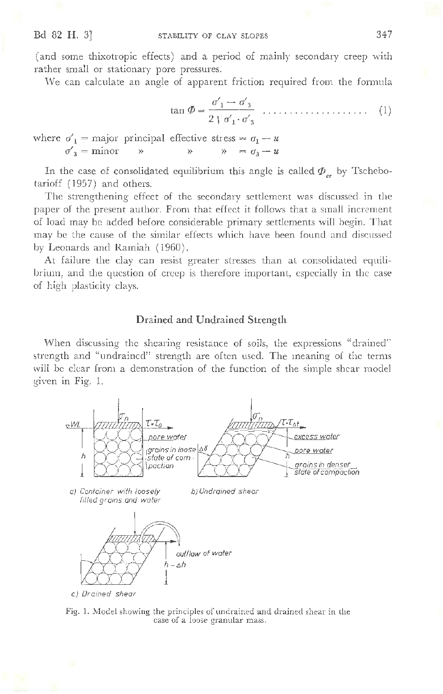(and some thixotropic effects) and a period of mainly secondary creep with rather small or stationary pore pressures.

We can calculate an angle of apparent friction required from the formula

$$
\tan \Phi = \frac{\sigma'_1 - \sigma'_3}{2 \downarrow \sigma'_1 \cdot \sigma'_3} \quad \dots \quad (1)
$$

where  $\sigma'_{1}$  = major principal effective stress =  $\sigma_{1}$  - *u*  $\sigma'_3$  = minor  $\rightarrow$   $\rightarrow$   $\rightarrow$   $\rightarrow$   $\rightarrow$   $\sigma_3 - u$ 

In the case of consolidated equilibrium this angle is called  $\Phi_{ce}$  by Tschebotarioff (1957) and others.

The strengthening effect of the secondary settlement was discussed in the paper of the present author. From that effect it follows that a small increment of load may be added before considerable primary settlements will begin. That may be the cause of the similar effects which have been found and discussed by Leonards and Ramiah ( 1960) .

At failure the clay can resist greater stresses than at consolidated equilibrium, and the question of creep is therefore important, especially in the case of high plasticity clays.

#### **Drained and Undrained Strength**

When discussing the shearing resistance of soils, the expressions "drained" strength and "undrained" strength are often used. The meaning of the terms will be clear from a demonstration of the function of the simple shear model given in Fig. 1.



Fig. 1. Model showing the principles of undrained and drained shear in the case of a loose granular mass.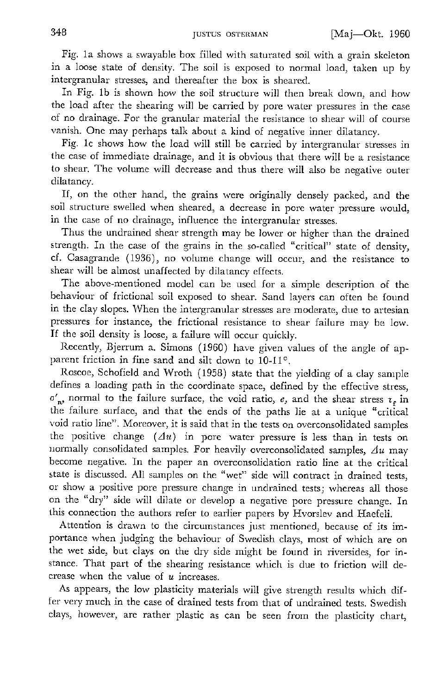Fig. 1a shows a swayable box filled with saturated soil with a grain skeleton in a loose state of density. The soil is exposed to normal load, taken up by intergranular stresses, and thereafter the box is sheared.

In Fig. 1b is shown how the soil structure will then break down, and how the load after the shearing will be carried by pore water pressures in the case of no drainage. For the granular material the resistance to shear will of course vanish. One may perhaps talk about a kind of negative inner dilatancy.

Fig. le shows how the load will still be carried by intergranular stresses in the case of immediate drainage, and it is obvious that there will be a resistance to shear. The volume will decrease and thus there \'l'ill also be negative outer dilatancy.

If, on the other hand, the grains were originally densely packed, and the soil structure swelled when sheared, a decrease in pore water pressure would, in the case of no drainage, influence the intergranular stresses.

Thus the undrained shear strength may be lower or higher than the drained 5trength. In the case of the grains in the so-called "critical" state of density, cf. Casagrande (1936), no volume change will occur, and the resistance to shear will be almost unaffected by dilatancy effects.

The above-mentioned model can be used for a simple description of the behaviour of frictional soil exposed to shear. Sand layers can often be found in the clay slopes. When the intergranular stresses are moderate, due to artesian pressures for instance, the frictional resistance to shear failure may be low. If the soil density is loose, a failure will occur quickly.

Recently, Bjerrum a. Simons (1960) have given values of the angle of apparent friction in fine sand and silt down to 10-11°.

Roscoe, Schofield and Wroth (1958) state that the yielding of a clay sample defines a loading path in the coordinate space, defined by the effective stress,  $\sigma'$ , normal to the failure surface, the void ratio, *e*, and the shear stress  $\tau$ , in the failure surface, and that the ends of the paths lie at a unique "critical void ratio line". Moreover, it is said that in the tests on overconsolidated samples the positive change  $(\Delta u)$  in pore water pressure is less than in tests on normally consolidated samples. For heavily overconsolidated samples,  $\Delta u$  may become negative. In the paper an overconsolidation ratio line at the critical state is discussed. All samples on the "wet" side will contract in drained tests, or show a positive pore pressure change in undrained tests; whereas all those on the "d1y" side will dilate or develop a negative pore pressure change. In this connection the authors refer to earlier papers by Hvorslev and Haefeli.

Attention is drawn to the circumstances just mentioned, because of its importance when judging the behaviour of Swedish clays, most of which are on the wet side, but clays on the dry side might be found in riversides, for instance. That part of the shearing resistance which is due to friction will decrease when the value of *u* increases.

As appears, the low plasticity materials will give strength results which differ very much in the case of drained tests from that of undrained tests. Swedish clays, however, are rather plastic as can be seen from the plasticity chart,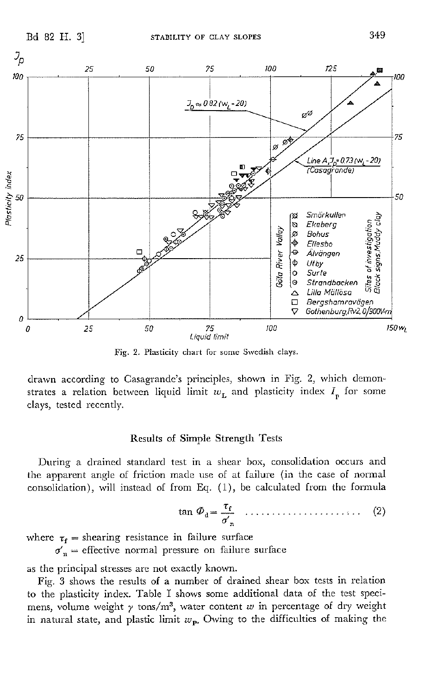

Fig. 2. Plasticity chart for some Swedish clays.

drawn according to Casagrande's principles, shown in Fig. 2, which demonstrates a relation between liquid limit  $w_L$  and plasticity index  $I_n$  for some clays, tested recently.

#### **Results of Simple Strength Tests**

During a drained standard test in a shear box, consolidation occurs and the apparent angle of friction made use of at failure (in the case of normal consolidation), will instead of from Eq. (1), be calculated from the formula

$$
\tan \varPhi_{\mathbf{d}} = \frac{\tau_{\mathbf{f}}}{\sigma'_{\mathbf{n}}} \quad \dots \quad \dots \quad \dots \quad (2)
$$

where  $\tau_f$  = shearing resistance in failure surface  $\sigma'_n$  = effective normal pressure on failure surface

as the principal stresses are not exactly known.

Fig. 3 shows the results of a number of drained shear box tests in relation to the plasticity index. Table I shows some additional data of the test specimens, volume weight  $\gamma$  tons/m<sup>3</sup>, water content w in percentage of dry weight in natural state, and plastic limit  $w_{\rm p}$ . Owing to the difficulties of making the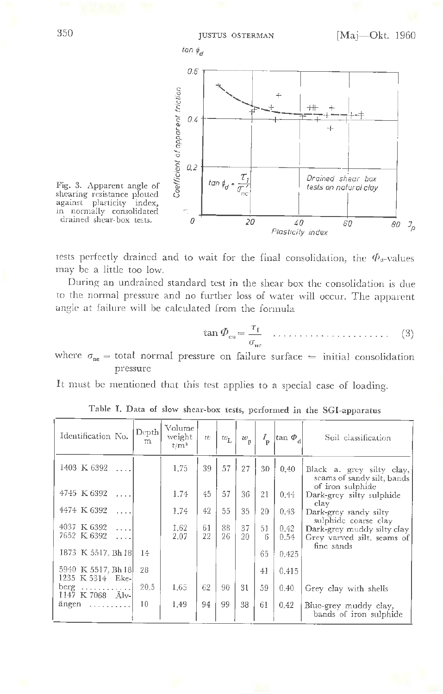

shearing resistance plotted against plasticity index, in normally consolidated

tests perfectly drained and to wait for the final consolidation, the  $\Phi_{a}$ -values may be a little too low.

During an undrained standard test in the shear box the consolidation is due to the normal pressure and no further loss of water will occur. The apparent angle at failure will be calculated from the formula

$$
\tan \Phi_{\rm cu} = \frac{\tau_{\rm f}}{\sigma_{\rm u}} \quad \dots \quad \dots \quad \dots \quad (3)
$$

where  $\sigma_{\text{nc}}$  = total normal pressure on failure surface = initial consolidation pressure

It must be mentioned that this test applies to a special case of loading.

| Identification No.                                 | Depth<br>m | Volume<br>weight<br>$t/m^3$ | $\imath\mathit{e}$ | $w_{\text{L}}$ | $\omega_{\rm p}$ | $I_{\rm p}$ | tan $\Phi_d$ | Soil classification                                                         |
|----------------------------------------------------|------------|-----------------------------|--------------------|----------------|------------------|-------------|--------------|-----------------------------------------------------------------------------|
| 1403 K 6392                                        |            | 1.75                        | 39                 | 57             | 27               | 30          | 0.40         | Black a. grey silty clay,<br>seams of sandy silt, bands<br>of iron sulphide |
| 4745 K 6392                                        |            | 1.74                        | 45                 | 57             | 36               | 21          | 0.44         | Dark-grey silty sulphide<br>clay                                            |
| 4474 K 6392<br>$\cdots$                            |            | 1.74                        | 42                 | 55             | 35               | 20          | 0.43         | Dark-grey sandy silty<br>sulphide coarse clay                               |
| 4037 K 6392<br>$\cdots$<br>7652 K 6392<br>$\cdots$ |            | 1.62<br>2.07                | 61<br>22           | 88<br>26       | 37<br>20         | 51<br>6     | 0.42<br>0.54 | Dark-grey muddy silty clay<br>Grey varved silt, seams of                    |
| 1873 K 5517, Bh 18                                 | 14         |                             |                    |                |                  | 65          | 0.425        | fine sands                                                                  |
| 5940 K 5517, Bh 18<br>1235 K 5314 Eke-             | 28         |                             |                    |                |                  | 41          | 0.415        |                                                                             |
| berg $\ldots \ldots \ldots$<br>1147 K 7068 Älv-    | 20.5       | 1.65                        | 62                 | 90             | 31               | 59          | 0.40         | Grey clay with shells                                                       |
| ängen                                              | 10         | 1.49                        | 94                 | 99             | 38               | 61          | 0.42         | Blue-grey muddy clay,<br>bands of iron sulphide                             |
|                                                    |            |                             |                    |                |                  |             |              |                                                                             |

Table I. Data of slow shear-box tests, performed in the SGI-apparatus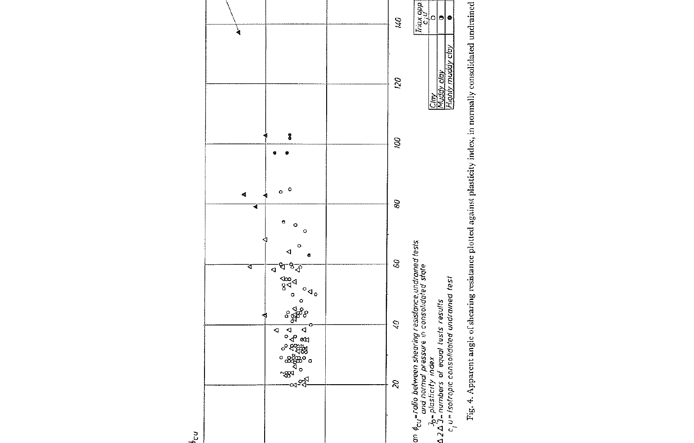

Fig. 4. Apparent angle of shearing resistance plotted against plasticity index, in normally consolidated undrained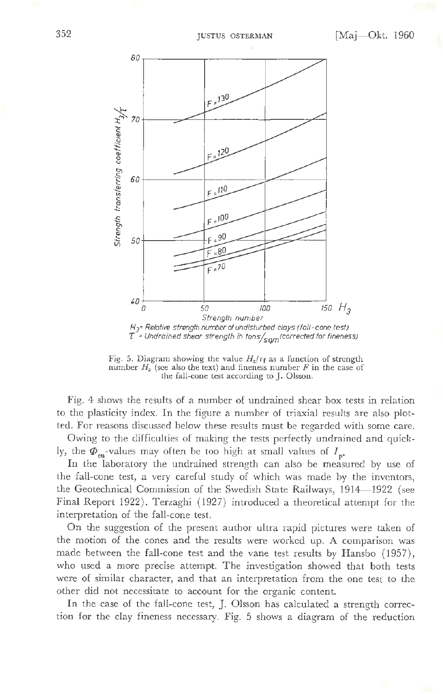

Fig. 5. Diagram showing the value  $H_3/\tau_f$  as a function of strength number  $H_3$  (see also the text) and fineness number  $F$  in the case of the fall-cone test according to J. Olsson.

Fig. 4 shows the results of a number of undrained shear box tests in relation to the plasticity index. In the figure a number of triaxial results are also plotted. For reasons discussed below these results must be regarded with some care.

Owing to the difficulties of making the tests perfectly undrained and quickly, the  $\Phi_{\text{on}}$ -values may often be too high at small values of  $I_{\text{on}}$ 

In the laboratory the undrained strength can also be measured by use of the fall-cone test, a very careful study of which was made by the inventors, the Geotechnical Commission of the Swedish State Railways, 1914-1922 (see Final Report 1922). Terzaghi ( 1927) introduced a theoretical attempt for the interpretation of the fall-cone test.

On the suggestion of the present author ultra rapid pictures were taken of the motion of the cones and the results were worked up. A comparison was made between the fall-cone test and the vane test results by Hansbo (1957), who used a more precise attempt. The investigation showed that both tests were of similar character, and that an interpretation from the one test to the other did not necessitate to account for the organic content.

In the case of the fall-cone test, J. Olsson has calculated a strength correction for the clay fineness necessary. Fig. 5 shows a diagram of the reduction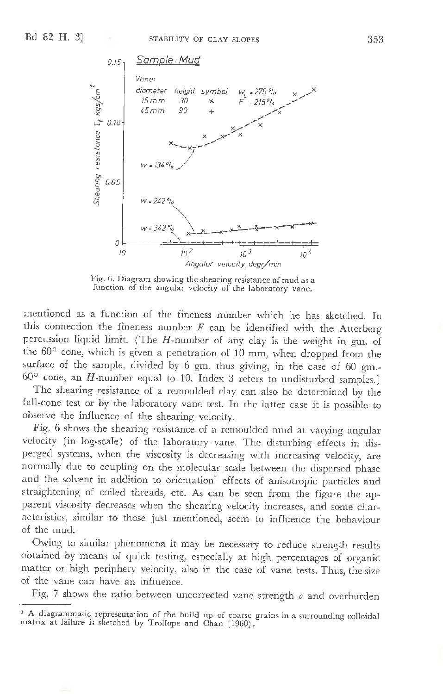

Fig. 6. Diagram showing the shearing resistance of mud as a function of the angular velocity of the laboratory vane.

mentioned as a function of the fineness number which he has sketched. In this connection the fineness number  $F$  can be identified with the Atterberg percussion liquid limit. (The H-number of any clay is the weight in gm. of the 60° cone, which is given a penetration of 10 mm, when dropped from the surface of the sample, divided by 6 gm. thus giving, in the case of 60 gm.- $60^{\circ}$  cone, an *H*-number equal to 10. Index 3 refers to undisturbed samples.)

The shearing resistance of a remoulded clay can also be determined by the fall-cone test or by the laboratory vane test. In the latter case it is possible to observe the influence of the shearing velocity.

Fig. 6 shows the shearing resistance of a remoulded mud at varying angular velocity (in log-scale) of the laboratory vane. The disturbing effects in disperged systems, when the viscosity is decreasing with increasing velocity, are normally due to coupling on the molecular scale between the dispersed phase and the solvent in addition to orientation<sup>1</sup> effects of anisotropic particles and straightening of coiled threads, etc. As can be seen from the figure the apparent viscosity decreases when the shearing velocity increases, and some char acteristics, similar to those just mentioned, seem to influence the behaviour of the mud.

Owing to similar phenomena it may be necessary to reduce strength results obtained by means of quick testing, especially at high percentages of organic matter or high periphery velocity, also in the case of vane tests. Thus, the size of the vane can have an influence.

Fig. 7 shows the ratio between uncorrected vane strength  $c$  and overburden

<sup>1</sup> A diagrammatic representation of the build up of coarse grains in a surrounding colloidal matrix at failure is sketched by Trollope and Chan (1960).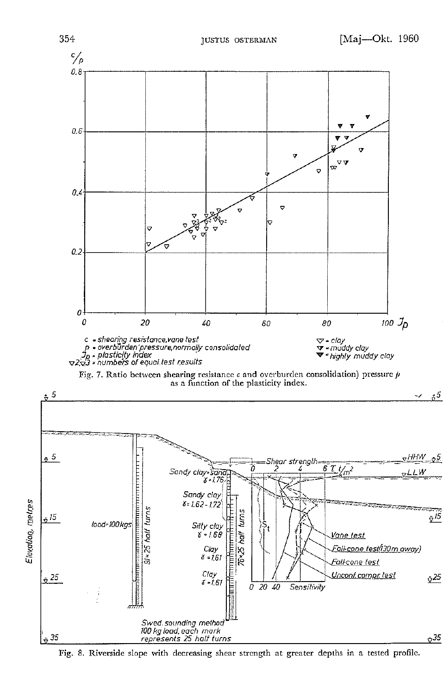

Fig. 8. Riverside slope with decreasing shear strength at greater depths in a tested profile.

Elevation, metres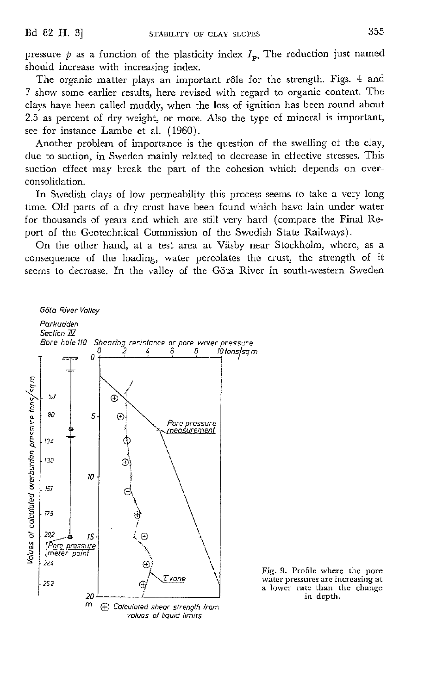pressure  $p$  as a function of the plasticity index  $I_p$ . The reduction just named should increase with increasing index.

The organic matter plays an important rôle for the strength. Figs. 4 and 7 show some earlier results, here revised with regard to organic content. The clays have been called muddy, when the loss of ignition has been round about 2.5 as percent of dry weight, or more. Also the type of mineral is important, see for instance Lambe et al. (1960).

Another problem of importance is the question of the swelling of the clay, due to suction, in Sweden mainly related to decrease in effective stresses. This suction effect may break the part of the cohesion which depends on overconsolidation.

In Swedish clays of low permeability this process seems to take a very long time. Old parts of a dry crust have been found which have lain under water for thousands of years and which are still very hard (compare the Final Report of the Geotechnical Commission of the Swedish State Railways).

On the other hand, at a test area at Viisby near Stockholm, where, as a consequence of the loading, water percolates the crust, the strength of it seems to decrease. In the valley of the Göta River in south-western Sweden

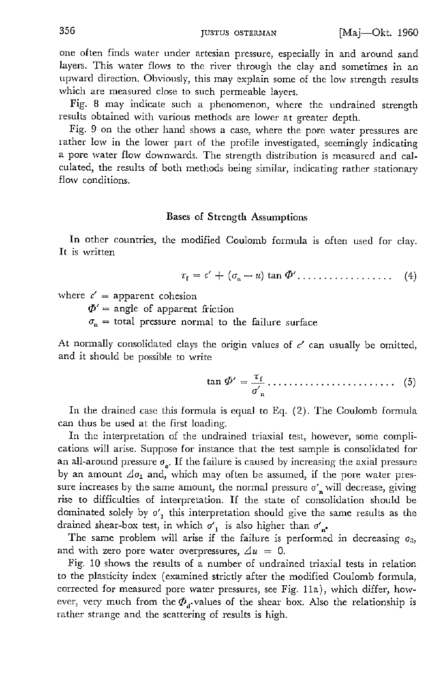one often finds water under artesian pressure, especially in and around sand layers. This water flows to the river through the clay and sometimes in an upward direction. Obviously, this may explain some of the low strength results which are measured close to such permeable layers.

Fig. 8 may indicate such a phenomenon, where the undrained strength results obtained with various methods are lower at greater depth.

Fig. 9 on the other hand shows a case, where the pore water pressures are rather low in the lower part of the profile investigated, seemingly indicating a pore water flow downwards. The strength distribution is measured and calculated, the results of both methods being similar, indicating rather stationary flow conditions.

#### Bases of Strength Assumptions

In other countries, the modified Coulomb formula is often used for clay. It is written

$$
\tau_{\rm f} = c' + (\sigma_{\rm n} - u) \tan \Phi' \dots \dots \dots \dots \dots \tag{4}
$$

where  $c' =$  apparent cohesion

 $\Phi'$  = angle of apparent friction

 $\sigma_n$  = total pressure normal to the failure surface

At normally consolidated clays the origin values of  $c'$  can usually be omitted, and it should be possible to write

$$
\tan \Phi' = \frac{\tau_f}{\sigma'_n} \dots \dots \dots \dots \dots \dots \dots \tag{5}
$$

In the drained case this formula is equal to Eq. (2). The Coulomb formula can thus be used at the first loading.

In the interpretation of the undrained triaxial test, however, some complications will arise. Suppose for instance that the test sample is consolidated for an all-around pressure  $\sigma_{\rm g}$ . If the failure is caused by increasing the axial pressure by an amount  $\Delta \sigma_1$  and, which may often be assumed, if the pore water pressure increases by the same amount, the normal pressure  $\sigma'$ , will decrease, giving rise to difficulties of interpretation. If the state of consolidation should be dominated solely by  $\sigma'$ <sub>1</sub> this interpretation should give the same results as the drained shear-box test, in which  $o'_1$  is also higher than  $o'_n$ .

The same problem will arise if the failure is performed in decreasing  $\sigma_3$ , and with zero pore water overpressures,  $\Delta u = 0$ .

Fig. 10 shows the results of a number of undrained triaxial tests in relation to the plasticity index ( examined strictly after the modified Coulomb fonnula, corrected for measured pore water pressures, see Fig. 11a), which differ, however, very much from the  $\Phi_d$  values of the shear box. Also the relationship is rather strange and the scattering of results is high.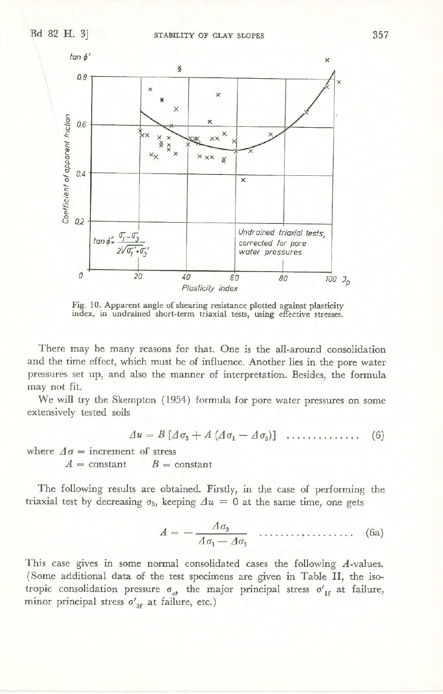

Fig. 10. Apparent angle of shearing resistance plotted against plasticity index, in undrained short-term triaxial tests, using effective stresses.

There may be many reasons for that. One is the all-around consolidation and the time effect, which must be of influence. Another lies in the pore water pressures set up, and also the manner of interpretation. Besides, the formula may not fit.

We will try the Skempton (1954) formula for pore water pressures on some extensively tested soils

$$
\varDelta u = B \left[ \varDelta \sigma_3 + A \left( \varDelta \sigma_1 - \varDelta \sigma_3 \right) \right] \dots \dots \dots \dots \dots \tag{6}
$$

where  $\Delta \sigma =$  increment of stress

 $A = constant$   $B = constant$ 

The following results are obtained. Firstly, in the case of performing the triaxial test by decreasing  $\sigma_3$ , keeping  $\Delta u = 0$  at the same time, one gets

$$
A = -\frac{\Delta \sigma_3}{\Delta \sigma_1 - \Delta \sigma_3} \quad \dots \quad \dots \quad \text{(6a)}
$$

This case gives in some normal consolidated cases the following A-values. (Some additional data of the test specimens are given in Table II, the isotropic consolidation pressure  $\sigma_{e}$ , the major principal stress  $\sigma'_{1f}$  at failure, minor principal stress  $\sigma'_{3f}$  at failure, etc.)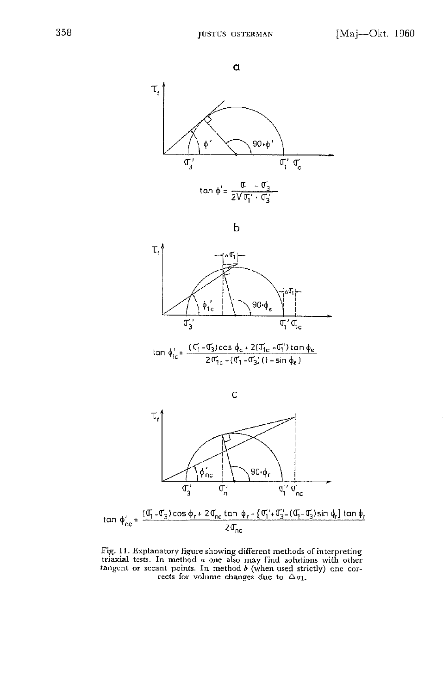

b



 $tan \, φ'_{ic} = \frac{(σ'_{1} - σ'_{3})cos φ_{e} + 2(σ'_{1c} - σ'_{1})tan φ_{e}}{2 σ'_{1c} - (σ'_{1} - σ'_{3}) (1 + sin φ_{e})}$ 



Fig. 11. Explanatory figure showing different methods of interpreting triaxial tests. In method  $a$  one also may find solutions with other tangent or secant points. In method  $b$  (when used strictly) one corrects for volume changes due to  $\Delta \sigma_1$ .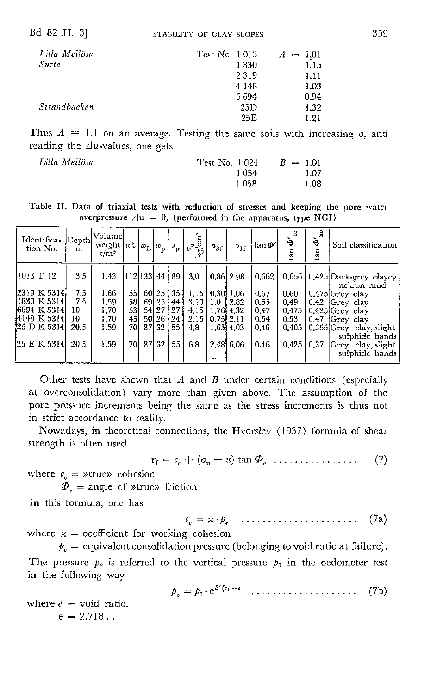| Lilla Mellösa       | Test No. 1013 | 1.01<br>$A =$ |
|---------------------|---------------|---------------|
| Surte               | 1830          | 1.15          |
|                     | 2319          | 1.11          |
|                     | 4 1 4 8       | 1.03          |
|                     | 6 6 9 4       | 0.94          |
| <i>Strandbacken</i> | 25D           | 1.32          |
|                     | 25E           | 1.21          |
|                     |               |               |

Thus  $A = 1.1$  on an average. Testing the same soils with increasing  $\sigma$ , and reading the  $\triangle$ u-values, one gets

 $Lilla$  *Mellösa* 

| Test No. 1024 |       |  | $B = 1.01$ |
|---------------|-------|--|------------|
|               | 1 054 |  | 1.07       |
|               | 1058  |  | 1.08       |

Table II. Data of triaxial tests with reduction of stresses and keeping the pore water overpressure  $\Delta u = 0$ , (performed in the apparatus, type NGI)

| Identifica-<br>tion No.                                                                                      | m                                            | $ \ensuremath{\text{Depth}}  \text{Volume} $<br>weight $ ws $<br>$t/m^3$ |                                                                 | $ w_{\rm L}  w_{\rm p}$ |                                                |                                                | $\frac{1}{\text{kg/cm}^2}$                                                      | $\sigma_{3}$ | $\sigma_{\rm 1f}$                                                                   | $\tan \Phi'$                                          | $\Phi'{}_{1c}$<br>tan                           | è<br>tan | Soil classification                                                                                                                                                                                              |
|--------------------------------------------------------------------------------------------------------------|----------------------------------------------|--------------------------------------------------------------------------|-----------------------------------------------------------------|-------------------------|------------------------------------------------|------------------------------------------------|---------------------------------------------------------------------------------|--------------|-------------------------------------------------------------------------------------|-------------------------------------------------------|-------------------------------------------------|----------|------------------------------------------------------------------------------------------------------------------------------------------------------------------------------------------------------------------|
| 11013 F 12<br>[2319 K 5314]<br> 1830 K 5314 <br>6694 K 5314<br>14148 K 5314l<br>[25 D K 5314]<br>25 E K 5314 | 35<br>7.5<br>7.5<br>10<br>10<br>20.5<br>20.5 | 1.43<br>1.66<br>1.59<br>1.70<br>1.70<br>1.59<br>1.59                     | 112 133  44   89 <br><b>551</b><br>581<br>53<br>45<br>70I<br>70 | 87<br>87                | 60 25<br>69 25  <br>54 27<br>50 26<br>32<br>32 | 35 <sub>1</sub><br>44<br>27<br>241<br>55<br>55 | 3.0<br>$3.10$   1.0<br>4.15   1.76   4.32<br>$2.15$   0.75   2.11<br>4.8<br>6.8 | 2,48         | $\vert 0.86 \vert 2.98 \vert$<br>$1.15$   0.30   1.06<br>12.82<br>1.6514.03<br>6.06 | 0.662<br>0.67<br>0.55<br>0.47<br>0.54<br>0.46<br>0.46 | 0.60<br>0.49<br>0.475<br>0.53<br>0.405<br>0.425 | 0.37     | 0.656 0.425 Dark-grey clayey<br>nekron mud<br>$0.475$ Grey clay<br>$0.42$ Grey clay<br>$0.425$ Grey clay<br>$0.47$ Grey clay<br>0.355 Grey clay, slight<br>sulphide bands<br>Grey clay, slight<br>sulphide bands |

Other tests have shown that  $A$  and  $B$  under certain conditions (especially at overconsolidation) vary more than given above. The assumption of the pore pressure increments being the same as the stress increments is thus not in strict accordance to reality.

Nowadays, in theoretical connections, the Hvorslev (1937) formula of shear strength is often used

$$
\tau_{\rm f} = \epsilon_{\rm e} + (\sigma_{\rm n} - u) \tan \Phi_{\rm e} \dots \dots \dots \dots \tag{7}
$$

where  $c_e$  = »true» cohesion<br>  $\Phi_e$  = angle of »true» friction

In this formula, one has

$$
c_e = \varkappa \cdot p_e \quad \ldots \ldots \ldots \ldots \ldots \ldots \ldots \quad (7a)
$$

where  $x =$  coefficient for working cohesion

 $p_e$  = equivalent consolidation pressure (belonging to void ratio at failure). The pressure  $p_e$  is referred to the vertical pressure  $p_1$  in the oedometer test in the following way

$$
p_{\circ} = p_1 \cdot e^{B'(\epsilon_1 - \epsilon)} \quad \dots \dots \dots \dots \dots \dots \tag{7b}
$$

where  $e = \text{void ratio}$ .  $e=2.718...$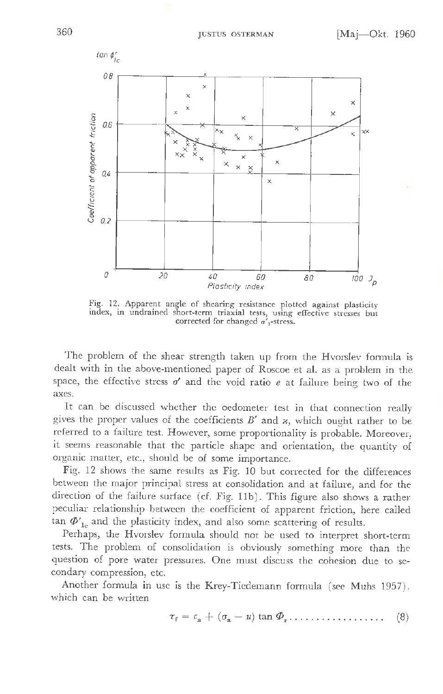

Fig. 12. Apparent angle of shearing resistance plotted against plasticity index, in undrained short-term triaxial tests, using effective stresses but corrected for changed  $\sigma'$ ,-stress.

The problem of the shear strength taken up from the Hyorsley formula is dealt with in the above-mentioned paper of Roscoe et al. as a problem in the space, the effective stress  $o'$  and the void ratio  $e$  at failure being two of the axes.

It can be discussed whether the oedometer test in that connection really gives the proper values of the coefficients  $B'$  and  $\varkappa$ , which ought rather to be referred to a failure test. However, some proportionality is probable. Moreover, it seems reasonable that the particle shape and orientation, the quantity of organic matter, etc., should be of some importance.

Fig. 12 shows the same results as Fig. 10 but corrected for the differences between the major principal stress at consolidation and at failure, and for the direction of the failure surface (cf. Fig. 11b). This figure also shows a rather peculiar relationship between the coefficient of apparent friction, here called tan  $\Phi'_{1c}$  and the plasticity index, and also some scattering of results.

Perhaps, the Hvorslev formula should not be used to interpret short-term tests. The problem of consolidation is obviously something more than the question of pore water pressures. One must discuss the cohesion due to secondary compression, etc.

Another formula in use is the Krey-Tiedemann formula (see Muhs 1957), which can be written

$$
\tau_{\rm f} = c_{\rm n} + (\sigma_{\rm n} - u) \tan \Phi_{\rm r} \dots \dots \dots \dots \dots \tag{8}
$$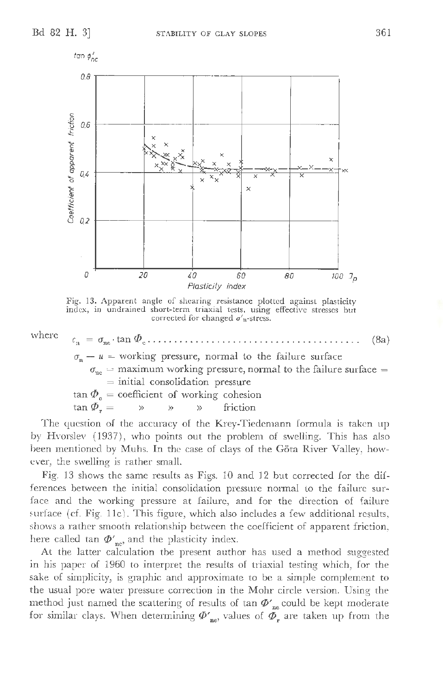



Fig. 13. Apparent angle of shearing resistance plotted against plasticity index, in undrained short-term triaxial tests, using effective stresses but corrected for changed *a'*n-stress.



The question of the accuracy of the Krey-Tiedemann formula is taken up by Hvorslev  $(1937)$ , who points out the problem of swelling. This has also been mentioned by Muhs. In the case of clays of the Göta River Valley, however, the swelling is rather small.

Fig. 13 shows the same results as Figs. 10 and 12 but corrected for the differences between the initial consolidation pressure normal to the failure surface and the working pressure at failure, and for the direction of failure surface (cf. Fig.  $11c$ ). This figure, which also includes a few additional results, shows a rather smooth relationship between the coefficient of apparent friction, here called tan  $\Phi'_{ne'}$  and the plasticity index.

At the latter calculation the present author has used a method suggested in his paper of 1960 to interpret the results of triaxial testing which, for the sake of simplicity, is graphic and approximate to be a simple complement to the usual pore water pressure correction in the Mohr circle version. Using the method just named the scattering of results of tan  $\Phi'_{\rm nc}$  could be kept moderate for similar clays. When determining  $\Phi'_{\text{ne}}$  values of  $\tilde{\Phi_r}$  are taken up from the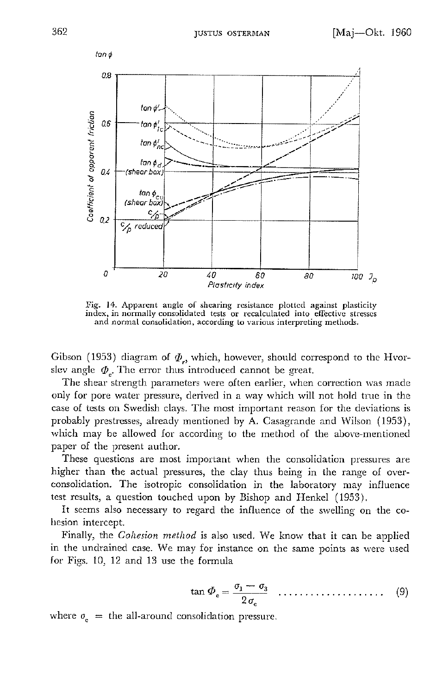

Fig. 14. Apparent angle of shearing resistance plotted against plasticity index, in normally consolidated tests or recalculated into effective stresses and normal consolidation, according to various interpreting methods.

Gibson (1953) diagram of  $\Phi_{r}$ , which, however, should correspond to the Hvorslev angle  $\varPhi$ <sub>c</sub>. The error thus introduced cannot be great.

The shear strength parameters were often earlier, when correction was made only for pore water pressure, derived in a way which will not hold true in the case of tests on Swedish clays. The most important reason for the deviations is probably prestresses, already mentioned by A. Casagrande and Wilson ( 1953), which may be allowed for according to the method of the above-mentioned paper of the present author.

These questions are most important when the consolidation pressures arc higher than the actual pressures, the clay thus being in the range of overconsolidation. The isotropic consolidation in the laboratory may influence test results, a question touched upon by Bishop and Henkel ( 1953).

It seems also necessary to regard the influence of the swelling on the cohesion intercept.

Finally, the *Cohesion method* is also used. We know that it can be applied in the undrained case. We may for instance on the same points as were used for Figs. 10, 12 and 13 use the formula

$$
\tan \Phi_{\rm e} = \frac{\sigma_1 - \sigma_3}{2 \sigma_{\rm e}} \quad \dots \quad \dots \quad (9)
$$

where  $\sigma_{\rm e}$  = the all-around consolidation pressure.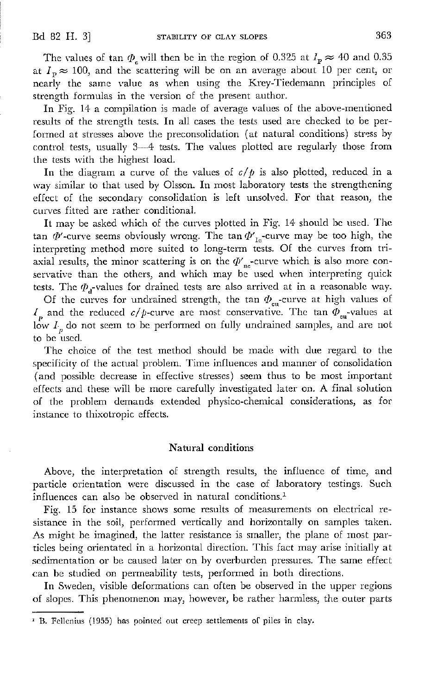The values of tan  $\varPhi_{\rm c}$  will then be in the region of 0.325 at  $I_{\rm P} \approx 40$  and 0.35 at  $I_p \approx 100$ , and the scattering will be on an average about 10 per cent, or nearly the same value as when using the Krey-Tiedemann principles of strength formulas in the version of the present author.

In Fig. 14 a compilation is made of average values of the above-mentioned results of the strength tests. In all cases the tests used arc checked to be performed at stresses above the preconsolidation (at natural conditions) stress by control tests, usually 3~4 tests. The values plotted are regularly those from the tests with the highest load.

In the diagram a curve of the values of  $c/p$  is also plotted, reduced in a way similar to that used by Olsson. In most laboratory tests the strengthening effect of the secondary consolidation is left unsolved. For that reason, the curves fitted are rather conditional.

It may be asked which of the curves plotted in Fig. 14· should be used. The tan  $\Phi'$ -curve seems obviously wrong. The tan  $\Phi'_{10}$ -curve may be too high, the interpreting method more suited to long-term tests. Of the curves from triaxial results, the minor scattering is on the  ${\phi_{\rm nc}'}$ -curve which is also more conservative than the others, and which may be used when interpreting quick tests. The  $\varphi_d$ -values for drained tests are also arrived at in a reasonable way.

Of the curves for undrained strength, the tan  $\Phi_{\text{en}}$ -curve at high values of  $I_p$  and the reduced  $c/p$ -curve are most conservative. The tan  $\Phi_{\rm eu}$ -values at low  $I_p$  do not seem to be performed on fully undrained samples, and are not to be used.

The choice of the test method should be made with due regard to the specificity of the actual problem. Time influences and manner of consolidation (and possible decrease in effective stresses) seem thus to be most important effects and these will be more carefully investigated later on. A final solution of the problem demands extended physico-chemical considerations, as for :instance to thixotropic effects.

#### Natural conditions

Above, the interpretation of strength results, the influence of time, and particle orientation were discussed in the case of laboratory testings. Such influences can also be observed in natural conditions.1

Fig. 15 for instance shows some results of measurements on electrical resistance in the soil, performed vertically and horizontally on samples taken. As might be imagined, the latter resistance is smaller, the plane of most particles being orientated in a horizontal direction. This fact may arise initially at sedimentation or be caused later on by overburden pressures. The same effect can be studied on permeability tests, performed in both directions.

In Sweden, visible deformations can often be observed in the upper regions of slopes. This phenomenon may, however, be rather haimless, the outer parts

<sup>&</sup>lt;sup>1</sup> B. Fellenius (1955) has pointed out creep settlements of piles in clay.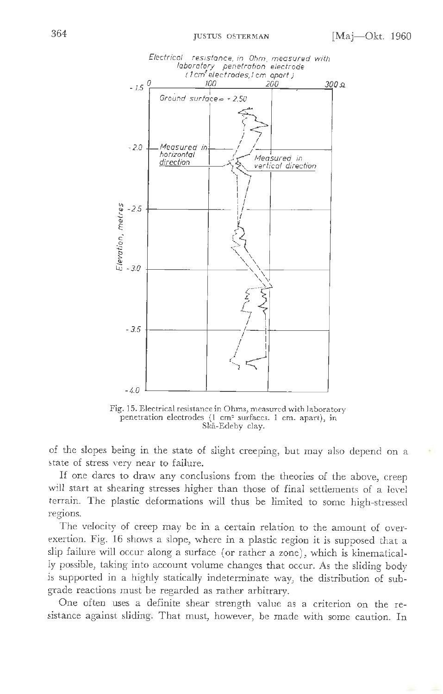

Fig. 15. Electrical resistance in Ohms, measured with laboratory penetration electrodes (l cm2 surfaces. I cm. apart), in Ska-Edeby clay.

of the slopes being in the state of slight creeping, but may also depend on a state of stress very near to failure.

If one dares to draw any conclusions from the theories of the above, creep will start at shearing stresses higher than those of final settlements of a level terrain. The plastic deformations will thus be limited to some high-stressed regions.

The velocity of creep may be in a certain relation to the amount of overexertion. Fig. 16 shows a slope, where in a plastic region it is supposed that a slip failure will occur along a surface ( or rather a zone), which is kinematically possible, taking into account volume changes that occur. As the sliding body is supported in a highly statically indeterminate way, the distribution of subgrade reactions must be regarded as rather arbitrary.

One often uses a definite shear strength value as a criterion on the resistance against sliding. That must, however, be made with some caution. In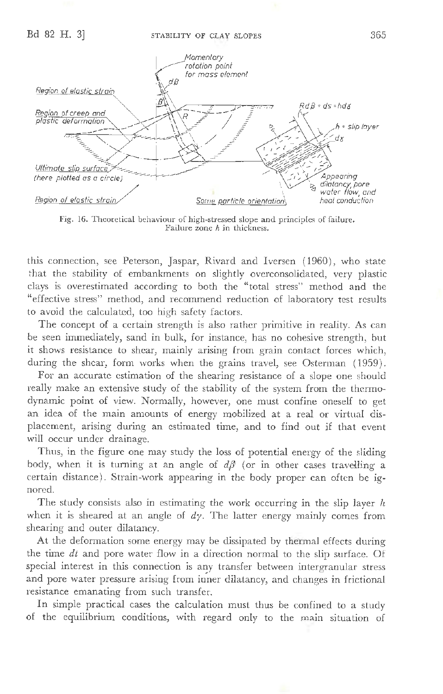

Fig. 16. Theoretical behaviour of high-stressed slope and principles of failure. Failure zone h in thickness.

this connection, see Peterson, Jaspar, Rivard and Iversen (1960), who state that the stability of embankments on slightly overconsolidated, very plastic clays is overestimated according to both the "total stress" method and the "effective stress" method, and recommend reduction of laboratory test results to avoid the calculated, too high safety factors.

The concept of a certain strength is also rather primitive in reality. As can be seen immediately, sand in bulk, for instance, has no cohesive strength, but it shows resistance to shear, mainly arising from grain contact forces which, during the shear, form works when the grains travel, see Osterman (1959).

For an accurate estimation of the shearing resistance of a slope one should really make an extensive study of the stability of the system from the thermodynamic point of view. Normally, however, one must confine oneself to get an idea of the main amounts of energy mobilized at a real or virtual displacement, arising during an estimated time, and to find out if that event will occur under drainage.

Thus, in the figure one may study the loss of potential energy of the sliding body, when it is turning at an angle of  $d\beta$  (or in other cases travelling a certain distance). Strain-work appearing in the body proper can often be ignored.

The study consists also in estimating the work occurring in the slip layer *h*  when it is sheared at an angle of *dy.* The latter energy mainly comes from shearing and outer dilatancy.

At the deformation some energy may be dissipated by thermal effects during the time *dt* and pore water flow in a direction normal to the slip surface. Of special interest in this connection is any transfer between intergranular stress and pore water pressure arising from inner dilatancy, and changes in frictional resistance emanating from such transfer.

In simple practical cases the calculation must thus be confined to a study of the equilibrium conditions, with regard only to the main situation of